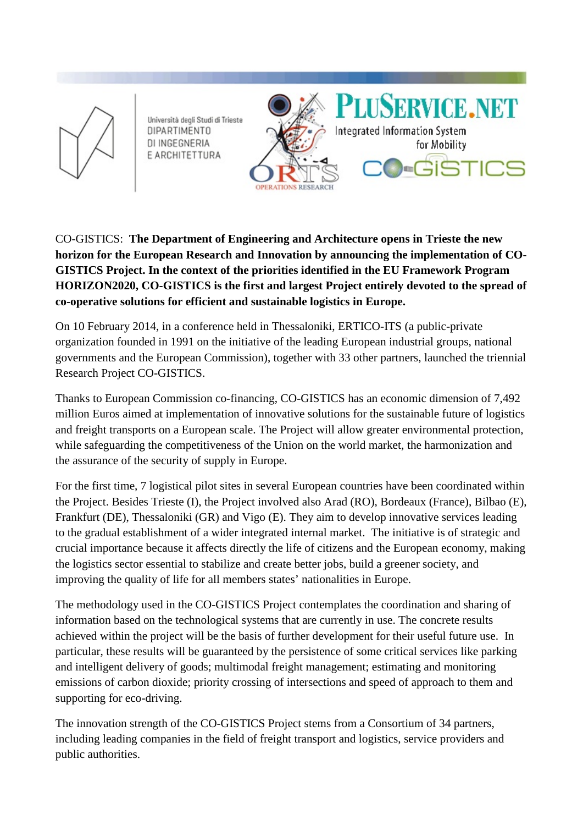

Università degli Studi di Trieste **DIPARTIMENTO** DI INGEGNERIA E ARCHITETTURA



CO-GISTICS: **The Department of Engineering and Architecture opens in Trieste the new horizon for the European Research and Innovation by announcing the implementation of CO-GISTICS Project. In the context of the priorities identified in the EU Framework Program HORIZON2020, CO-GISTICS is the first and largest Project entirely devoted to the spread of co-operative solutions for efficient and sustainable logistics in Europe.**

On 10 February 2014, in a conference held in Thessaloniki, ERTICO-ITS (a public-private organization founded in 1991 on the initiative of the leading European industrial groups, national governments and the European Commission), together with 33 other partners, launched the triennial Research Project CO-GISTICS.

Thanks to European Commission co-financing, CO-GISTICS has an economic dimension of 7,492 million Euros aimed at implementation of innovative solutions for the sustainable future of logistics and freight transports on a European scale. The Project will allow greater environmental protection, while safeguarding the competitiveness of the Union on the world market, the harmonization and the assurance of the security of supply in Europe.

For the first time, 7 logistical pilot sites in several European countries have been coordinated within the Project. Besides Trieste (I), the Project involved also Arad (RO), Bordeaux (France), Bilbao (E), Frankfurt (DE), Thessaloniki (GR) and Vigo (E). They aim to develop innovative services leading to the gradual establishment of a wider integrated internal market. The initiative is of strategic and crucial importance because it affects directly the life of citizens and the European economy, making the logistics sector essential to stabilize and create better jobs, build a greener society, and improving the quality of life for all members states' nationalities in Europe.

The methodology used in the CO-GISTICS Project contemplates the coordination and sharing of information based on the technological systems that are currently in use. The concrete results achieved within the project will be the basis of further development for their useful future use. In particular, these results will be guaranteed by the persistence of some critical services like parking and intelligent delivery of goods; multimodal freight management; estimating and monitoring emissions of carbon dioxide; priority crossing of intersections and speed of approach to them and supporting for eco-driving.

The innovation strength of the CO-GISTICS Project stems from a Consortium of 34 partners, including leading companies in the field of freight transport and logistics, service providers and public authorities.